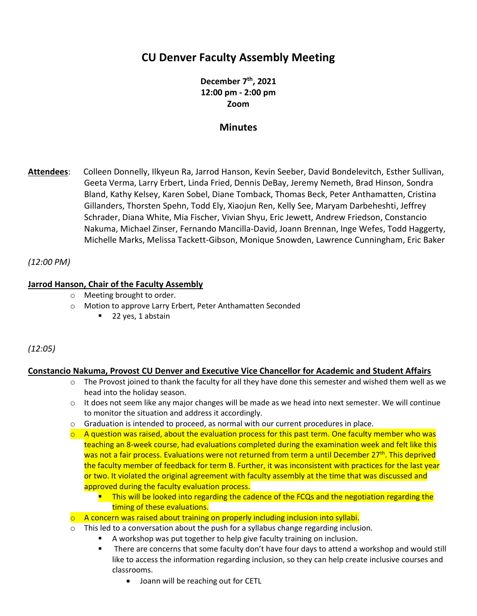# **CU Denver Faculty Assembly Meeting**

**December 7 th, 2021 12:00 pm - 2:00 pm Zoom**

# **Minutes**

**Attendees**: Colleen Donnelly, Ilkyeun Ra, Jarrod Hanson, Kevin Seeber, David Bondelevitch, Esther Sullivan, Geeta Verma, Larry Erbert, Linda Fried, Dennis DeBay, Jeremy Nemeth, Brad Hinson, Sondra Bland, Kathy Kelsey, Karen Sobel, Diane Tomback, Thomas Beck, Peter Anthamatten, Cristina Gillanders, Thorsten Spehn, Todd Ely, Xiaojun Ren, Kelly See, Maryam Darbeheshti, Jeffrey Schrader, Diana White, Mia Fischer, Vivian Shyu, Eric Jewett, Andrew Friedson, Constancio Nakuma, Michael Zinser, Fernando Mancilla-David, Joann Brennan, Inge Wefes, Todd Haggerty, Michelle Marks, Melissa Tackett-Gibson, Monique Snowden, Lawrence Cunningham, Eric Baker

### *(12:00 PM)*

### **Jarrod Hanson, Chair of the Faculty Assembly**

- o Meeting brought to order.
- o Motion to approve Larry Erbert, Peter Anthamatten Seconded
	- 22 yes, 1 abstain

### *(12:05)*

### **Constancio Nakuma, Provost CU Denver and Executive Vice Chancellor for Academic and Student Affairs**

- $\circ$  The Provost joined to thank the faculty for all they have done this semester and wished them well as we head into the holiday season.
- $\circ$  It does not seem like any major changes will be made as we head into next semester. We will continue to monitor the situation and address it accordingly.
- $\circ$  Graduation is intended to proceed, as normal with our current procedures in place.
- $\circ$  A question was raised, about the evaluation process for this past term. One faculty member who was teaching an 8-week course, had evaluations completed during the examination week and felt like this was not a fair process. Evaluations were not returned from term a until December 27<sup>th</sup>. This deprived the faculty member of feedback for term B. Further, it was inconsistent with practices for the last year or two. It violated the original agreement with faculty assembly at the time that was discussed and approved during the faculty evaluation process.
	- **This will be looked into regarding the cadence of the FCQs and the negotiation regarding the** timing of these evaluations.
- o A concern was raised about training on properly including inclusion into syllabi.
- $\circ$  This led to a conversation about the push for a syllabus change regarding inclusion.
	- A workshop was put together to help give faculty training on inclusion.
	- **•** There are concerns that some faculty don't have four days to attend a workshop and would still like to access the information regarding inclusion, so they can help create inclusive courses and classrooms.
		- Joann will be reaching out for CETL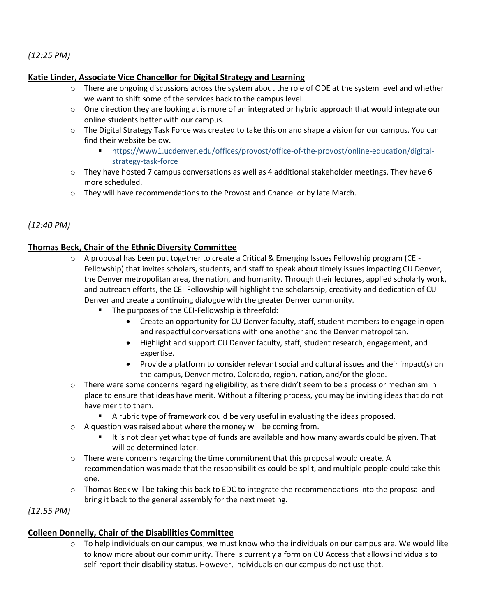### *(12:25 PM)*

### **Katie Linder, Associate Vice Chancellor for Digital Strategy and Learning**

- $\circ$  There are ongoing discussions across the system about the role of ODE at the system level and whether we want to shift some of the services back to the campus level.
- o One direction they are looking at is more of an integrated or hybrid approach that would integrate our online students better with our campus.
- o The Digital Strategy Task Force was created to take this on and shape a vision for our campus. You can find their website below.
	- [https://www1.ucdenver.edu/offices/provost/office-of-the-provost/online-education/digital](https://www1.ucdenver.edu/offices/provost/office-of-the-provost/online-education/digital-strategy-task-force)[strategy-task-force](https://www1.ucdenver.edu/offices/provost/office-of-the-provost/online-education/digital-strategy-task-force)
- $\circ$  They have hosted 7 campus conversations as well as 4 additional stakeholder meetings. They have 6 more scheduled.
- o They will have recommendations to the Provost and Chancellor by late March.

### *(12:40 PM)*

### **Thomas Beck, Chair of the Ethnic Diversity Committee**

- $\circ$  A proposal has been put together to create a Critical & Emerging Issues Fellowship program (CEI-Fellowship) that invites scholars, students, and staff to speak about timely issues impacting CU Denver, the Denver metropolitan area, the nation, and humanity. Through their lectures, applied scholarly work, and outreach efforts, the CEI-Fellowship will highlight the scholarship, creativity and dedication of CU Denver and create a continuing dialogue with the greater Denver community.
	- The purposes of the CEI-Fellowship is threefold:
		- Create an opportunity for CU Denver faculty, staff, student members to engage in open and respectful conversations with one another and the Denver metropolitan.
		- Highlight and support CU Denver faculty, staff, student research, engagement, and expertise.
		- Provide a platform to consider relevant social and cultural issues and their impact(s) on the campus, Denver metro, Colorado, region, nation, and/or the globe.
- $\circ$  There were some concerns regarding eligibility, as there didn't seem to be a process or mechanism in place to ensure that ideas have merit. Without a filtering process, you may be inviting ideas that do not have merit to them.
	- A rubric type of framework could be very useful in evaluating the ideas proposed.
- o A question was raised about where the money will be coming from.
	- It is not clear yet what type of funds are available and how many awards could be given. That will be determined later.
- $\circ$  There were concerns regarding the time commitment that this proposal would create. A recommendation was made that the responsibilities could be split, and multiple people could take this one.
- $\circ$  Thomas Beck will be taking this back to EDC to integrate the recommendations into the proposal and bring it back to the general assembly for the next meeting.

*(12:55 PM)*

### **Colleen Donnelly, Chair of the Disabilities Committee**

 $\circ$  To help individuals on our campus, we must know who the individuals on our campus are. We would like to know more about our community. There is currently a form on CU Access that allows individuals to self-report their disability status. However, individuals on our campus do not use that.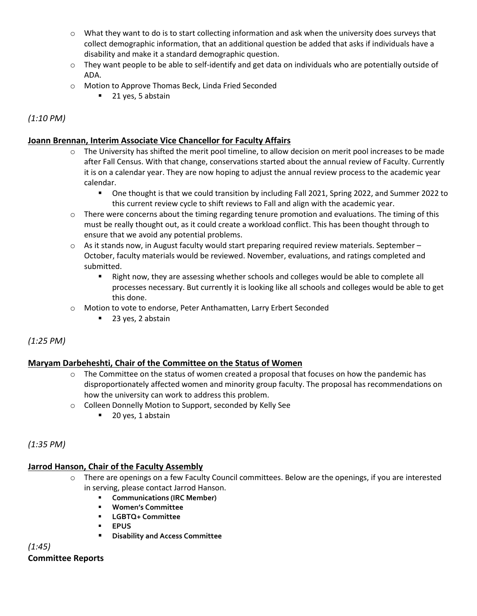- o What they want to do is to start collecting information and ask when the university does surveys that collect demographic information, that an additional question be added that asks if individuals have a disability and make it a standard demographic question.
- $\circ$  They want people to be able to self-identify and get data on individuals who are potentially outside of ADA.
- o Motion to Approve Thomas Beck, Linda Fried Seconded
	- 21 yes, 5 abstain

*(1:10 PM)*

# **Joann Brennan, Interim Associate Vice Chancellor for Faculty Affairs**

- $\circ$  The University has shifted the merit pool timeline, to allow decision on merit pool increases to be made after Fall Census. With that change, conservations started about the annual review of Faculty. Currently it is on a calendar year. They are now hoping to adjust the annual review process to the academic year calendar.
	- One thought is that we could transition by including Fall 2021, Spring 2022, and Summer 2022 to this current review cycle to shift reviews to Fall and align with the academic year.
- $\circ$  There were concerns about the timing regarding tenure promotion and evaluations. The timing of this must be really thought out, as it could create a workload conflict. This has been thought through to ensure that we avoid any potential problems.
- $\circ$  As it stands now, in August faculty would start preparing required review materials. September October, faculty materials would be reviewed. November, evaluations, and ratings completed and submitted.
	- Right now, they are assessing whether schools and colleges would be able to complete all processes necessary. But currently it is looking like all schools and colleges would be able to get this done.
- o Motion to vote to endorse, Peter Anthamatten, Larry Erbert Seconded
	- 23 yes, 2 abstain

# *(1:25 PM)*

# **Maryam Darbeheshti, Chair of the Committee on the Status of Women**

- $\circ$  The Committee on the status of women created a proposal that focuses on how the pandemic has disproportionately affected women and minority group faculty. The proposal has recommendations on how the university can work to address this problem.
- o Colleen Donnelly Motion to Support, seconded by Kelly See
	- 20 yes, 1 abstain

# *(1:35 PM)*

# **Jarrod Hanson, Chair of the Faculty Assembly**

- o There are openings on a few Faculty Council committees. Below are the openings, if you are interested in serving, please contact Jarrod Hanson.
	- **Communications (IRC Member)**
	- **Women's Committee**
	- **LGBTQ+ Committee**
	- **EPUS**
	- **Disability and Access Committee**

*(1:45)* **Committee Reports**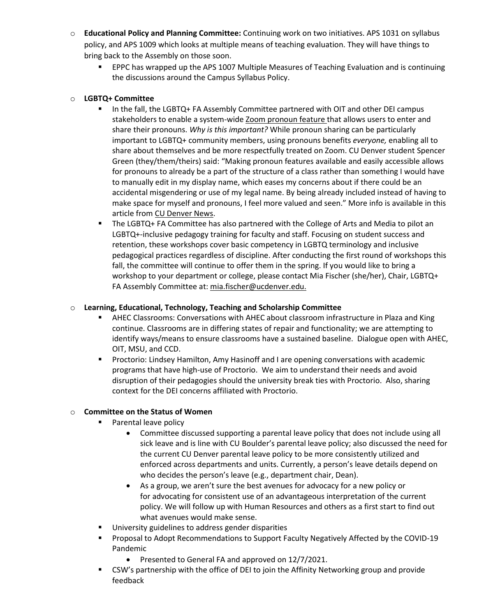- o **Educational Policy and Planning Committee:** Continuing work on two initiatives. APS 1031 on syllabus policy, and APS 1009 which looks at multiple means of teaching evaluation. They will have things to bring back to the Assembly on those soon.
	- **EPPC has wrapped up the APS 1007 Multiple Measures of Teaching Evaluation and is continuing** the discussions around the Campus Syllabus Policy.

### o **LGBTQ+ Committee**

- In the fall, the LGBTQ+ FA Assembly Committee partnered with OIT and other DEI campus stakeholders to enable a system-wid[e Zoom pronoun feature t](https://support.zoom.us/hc/en-us/articles/4402698027533-Adding-and-sharing-your-pronouns)hat allows users to enter and share their pronouns. *Why is this important?* While pronoun sharing can be particularly important to LGBTQ+ community members, using pronouns benefits *everyone,* enabling all to share about themselves and be more respectfully treated on Zoom. CU Denver student Spencer Green (they/them/theirs) said: "Making pronoun features available and easily accessible allows for pronouns to already be a part of the structure of a class rather than something I would have to manually edit in my display name, which eases my concerns about if there could be an accidental misgendering or use of my legal name. By being already included instead of having to make space for myself and pronouns, I feel more valued and seen." More info is available in this article fro[m CU Denver News.](https://news.ucdenver.edu/zoom-pronoun-feature-now-available/?utm_source=CUDNews-Tue-Nov-16-2021&utm_medium=email&utm_campaign=CUDenverNewsletter&utm_content=Zoom-Pronoun-Feature-Now-Available)
- The LGBTQ+ FA Committee has also partnered with the College of Arts and Media to pilot an LGBTQ+-inclusive pedagogy training for faculty and staff. Focusing on student success and retention, these workshops cover basic competency in LGBTQ terminology and inclusive pedagogical practices regardless of discipline. After conducting the first round of workshops this fall, the committee will continue to offer them in the spring. If you would like to bring a workshop to your department or college, please contact Mia Fischer (she/her), Chair, LGBTQ+ FA Assembly Committee at: [mia.fischer@ucdenver.edu.](mailto:mia.fischer@ucdenver.edu)

### o **Learning, Educational, Technology, Teaching and Scholarship Committee**

- **■** AHEC Classrooms: Conversations with AHEC about classroom infrastructure in Plaza and King continue. Classrooms are in differing states of repair and functionality; we are attempting to identify ways/means to ensure classrooms have a sustained baseline. Dialogue open with AHEC, OIT, MSU, and CCD.
- **Proctorio: Lindsey Hamilton, Amy Hasinoff and I are opening conversations with academic** programs that have high-use of Proctorio. We aim to understand their needs and avoid disruption of their pedagogies should the university break ties with Proctorio. Also, sharing context for the DEI concerns affiliated with Proctorio.

### o **Committee on the Status of Women**

- Parental leave policy
	- Committee discussed supporting a parental leave policy that does not include using all sick leave and is line with CU Boulder's parental leave policy; also discussed the need for the current CU Denver parental leave policy to be more consistently utilized and enforced across departments and units. Currently, a person's leave details depend on who decides the person's leave (e.g., department chair, Dean).
	- As a group, we aren't sure the best avenues for advocacy for a new policy or for advocating for consistent use of an advantageous interpretation of the current policy. We will follow up with Human Resources and others as a first start to find out what avenues would make sense.
- University guidelines to address gender disparities
- **•** Proposal to Adopt Recommendations to Support Faculty Negatively Affected by the COVID-19 Pandemic
	- Presented to General FA and approved on 12/7/2021.
- CSW's partnership with the office of DEI to join the Affinity Networking group and provide feedback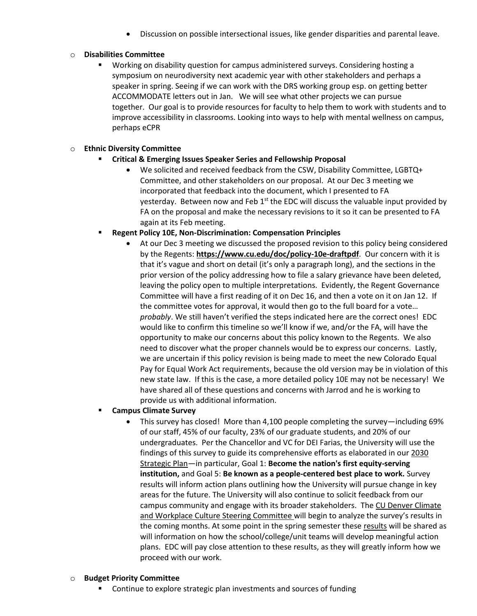• Discussion on possible intersectional issues, like gender disparities and parental leave.

### o **Disabilities Committee**

Working on disability question for campus administered surveys. Considering hosting a symposium on neurodiversity next academic year with other stakeholders and perhaps a speaker in spring. Seeing if we can work with the DRS working group esp. on getting better ACCOMMODATE letters out in Jan. We will see what other projects we can pursue together. Our goal is to provide resources for faculty to help them to work with students and to improve accessibility in classrooms. Looking into ways to help with mental wellness on campus, perhaps eCPR

### o **Ethnic Diversity Committee**

- **Critical & Emerging Issues Speaker Series and Fellowship Proposal** 
	- We solicited and received feedback from the CSW, Disability Committee, LGBTQ+ Committee, and other stakeholders on our proposal. At our Dec 3 meeting we incorporated that feedback into the document, which I presented to FA yesterday. Between now and Feb  $1<sup>st</sup>$  the EDC will discuss the valuable input provided by FA on the proposal and make the necessary revisions to it so it can be presented to FA again at its Feb meeting.
- **Regent Policy 10E, Non-Discrimination: Compensation Principles** 
	- At our Dec 3 meeting we discussed the proposed revision to this policy being considered by the Regents: **<https://www.cu.edu/doc/policy-10e-draftpdf>**. Our concern with it is that it's vague and short on detail (it's only a paragraph long), and the sections in the prior version of the policy addressing how to file a salary grievance have been deleted, leaving the policy open to multiple interpretations. Evidently, the Regent Governance Committee will have a first reading of it on Dec 16, and then a vote on it on Jan 12. If the committee votes for approval, it would then go to the full board for a vote… *probably*. We still haven't verified the steps indicated here are the correct ones! EDC would like to confirm this timeline so we'll know if we, and/or the FA, will have the opportunity to make our concerns about this policy known to the Regents. We also need to discover what the proper channels would be to express our concerns. Lastly, we are uncertain if this policy revision is being made to meet the new Colorado Equal Pay for Equal Work Act requirements, because the old version may be in violation of this new state law. If this is the case, a more detailed policy 10E may not be necessary! We have shared all of these questions and concerns with Jarrod and he is working to provide us with additional information.

### **Campus Climate Survey**

• This survey has closed! More than 4,100 people completing the survey—including 69% of our staff, 45% of our faculty, 23% of our graduate students, and 20% of our undergraduates. Per the Chancellor and VC for DEI Farias, the University will use the findings of this survey to guide its comprehensive efforts as elaborated in ou[r 2030](https://click.communications.cu.edu/?qs=7846397a2cb02e16bbc13083321a5e6595dfafe6004634008b46530d69fc17af0c19dda22f9b1bff6924d59deaff583899c31f0e6fc9127d)  [Strategic Plan](https://click.communications.cu.edu/?qs=7846397a2cb02e16bbc13083321a5e6595dfafe6004634008b46530d69fc17af0c19dda22f9b1bff6924d59deaff583899c31f0e6fc9127d)—in particular, Goal 1: **Become the nation's first equity-serving institution,** and Goal 5: **Be known as a people-centered best place to work.** Survey results will inform action plans outlining how the University will pursue change in key areas for the future. The University will also continue to solicit feedback from our campus community and engage with its broader stakeholders. The [CU Denver Climate](https://click.communications.cu.edu/?qs=7846397a2cb02e1603814d06e2380197cfb86f810e02115e8b62d2c8b45d6fb0190f6886b8aa25f848e4bb81ec2120fbd2530874dc077a39)  [and Workplace Culture Steering Committee](https://click.communications.cu.edu/?qs=7846397a2cb02e1603814d06e2380197cfb86f810e02115e8b62d2c8b45d6fb0190f6886b8aa25f848e4bb81ec2120fbd2530874dc077a39) will begin to analyze the survey's results in the coming months. At some point in the spring semester thes[e results](https://click.communications.cu.edu/?qs=7846397a2cb02e16f355eedd5eaa52cf87dc14053abfba0f5a5a7f863022b9ed14960d96d7825119192a91f26b523d2211e51c7391839b91) will be shared as will information on how the school/college/unit teams will develop meaningful action plans. EDC will pay close attention to these results, as they will greatly inform how we proceed with our work.

#### o **Budget Priority Committee**

■ Continue to explore strategic plan investments and sources of funding